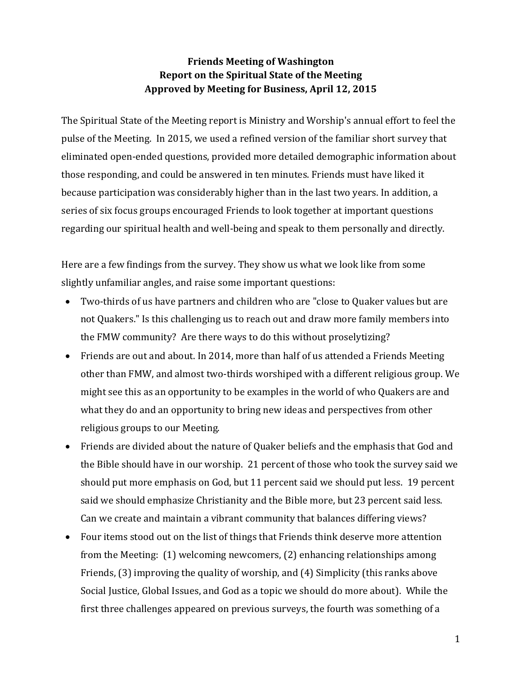## **Friends Meeting of Washington Report on the Spiritual State of the Meeting Approved by Meeting for Business, April 12, 2015**

The Spiritual State of the Meeting report is Ministry and Worship's annual effort to feel the pulse of the Meeting. In 2015, we used a refined version of the familiar short survey that eliminated open-ended questions, provided more detailed demographic information about those responding, and could be answered in ten minutes. Friends must have liked it because participation was considerably higher than in the last two years. In addition, a series of six focus groups encouraged Friends to look together at important questions regarding our spiritual health and well-being and speak to them personally and directly.

Here are a few findings from the survey. They show us what we look like from some slightly unfamiliar angles, and raise some important questions:

- Two-thirds of us have partners and children who are "close to Quaker values but are not Quakers." Is this challenging us to reach out and draw more family members into the FMW community? Are there ways to do this without proselytizing?
- Friends are out and about. In 2014, more than half of us attended a Friends Meeting other than FMW, and almost two-thirds worshiped with a different religious group. We might see this as an opportunity to be examples in the world of who Quakers are and what they do and an opportunity to bring new ideas and perspectives from other religious groups to our Meeting.
- Friends are divided about the nature of Quaker beliefs and the emphasis that God and the Bible should have in our worship. 21 percent of those who took the survey said we should put more emphasis on God, but 11 percent said we should put less. 19 percent said we should emphasize Christianity and the Bible more, but 23 percent said less. Can we create and maintain a vibrant community that balances differing views?
- Four items stood out on the list of things that Friends think deserve more attention from the Meeting: (1) welcoming newcomers, (2) enhancing relationships among Friends, (3) improving the quality of worship, and (4) Simplicity (this ranks above Social Justice, Global Issues, and God as a topic we should do more about). While the first three challenges appeared on previous surveys, the fourth was something of a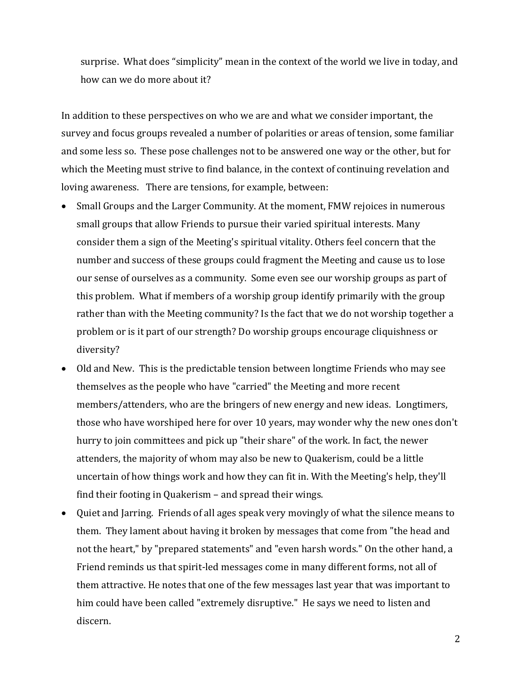surprise. What does "simplicity" mean in the context of the world we live in today, and how can we do more about it?

In addition to these perspectives on who we are and what we consider important, the survey and focus groups revealed a number of polarities or areas of tension, some familiar and some less so. These pose challenges not to be answered one way or the other, but for which the Meeting must strive to find balance, in the context of continuing revelation and loving awareness. There are tensions, for example, between:

- Small Groups and the Larger Community. At the moment, FMW rejoices in numerous small groups that allow Friends to pursue their varied spiritual interests. Many consider them a sign of the Meeting's spiritual vitality. Others feel concern that the number and success of these groups could fragment the Meeting and cause us to lose our sense of ourselves as a community. Some even see our worship groups as part of this problem. What if members of a worship group identify primarily with the group rather than with the Meeting community? Is the fact that we do not worship together a problem or is it part of our strength? Do worship groups encourage cliquishness or diversity?
- Old and New. This is the predictable tension between longtime Friends who may see themselves as the people who have "carried" the Meeting and more recent members/attenders, who are the bringers of new energy and new ideas. Longtimers, those who have worshiped here for over 10 years, may wonder why the new ones don't hurry to join committees and pick up "their share" of the work. In fact, the newer attenders, the majority of whom may also be new to Quakerism, could be a little uncertain of how things work and how they can fit in. With the Meeting's help, they'll find their footing in Quakerism – and spread their wings.
- Quiet and Jarring. Friends of all ages speak very movingly of what the silence means to them. They lament about having it broken by messages that come from "the head and not the heart," by "prepared statements" and "even harsh words." On the other hand, a Friend reminds us that spirit-led messages come in many different forms, not all of them attractive. He notes that one of the few messages last year that was important to him could have been called "extremely disruptive." He says we need to listen and discern.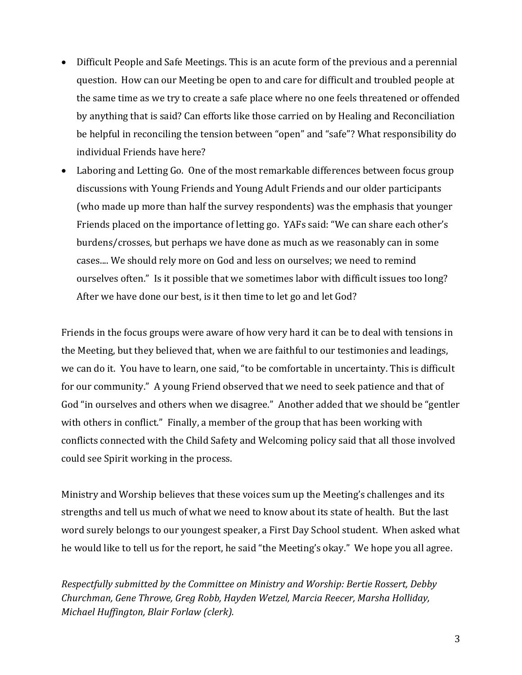- Difficult People and Safe Meetings. This is an acute form of the previous and a perennial question. How can our Meeting be open to and care for difficult and troubled people at the same time as we try to create a safe place where no one feels threatened or offended by anything that is said? Can efforts like those carried on by Healing and Reconciliation be helpful in reconciling the tension between "open" and "safe"? What responsibility do individual Friends have here?
- Laboring and Letting Go. One of the most remarkable differences between focus group discussions with Young Friends and Young Adult Friends and our older participants (who made up more than half the survey respondents) was the emphasis that younger Friends placed on the importance of letting go. YAFs said: "We can share each other's burdens/crosses, but perhaps we have done as much as we reasonably can in some cases.... We should rely more on God and less on ourselves; we need to remind ourselves often." Is it possible that we sometimes labor with difficult issues too long? After we have done our best, is it then time to let go and let God?

Friends in the focus groups were aware of how very hard it can be to deal with tensions in the Meeting, but they believed that, when we are faithful to our testimonies and leadings, we can do it. You have to learn, one said, "to be comfortable in uncertainty. This is difficult for our community." A young Friend observed that we need to seek patience and that of God "in ourselves and others when we disagree." Another added that we should be "gentler with others in conflict." Finally, a member of the group that has been working with conflicts connected with the Child Safety and Welcoming policy said that all those involved could see Spirit working in the process.

Ministry and Worship believes that these voices sum up the Meeting's challenges and its strengths and tell us much of what we need to know about its state of health. But the last word surely belongs to our youngest speaker, a First Day School student. When asked what he would like to tell us for the report, he said "the Meeting's okay." We hope you all agree.

*Respectfully submitted by the Committee on Ministry and Worship: Bertie Rossert, Debby Churchman, Gene Throwe, Greg Robb, Hayden Wetzel, Marcia Reecer, Marsha Holliday, Michael Huffington, Blair Forlaw (clerk).*